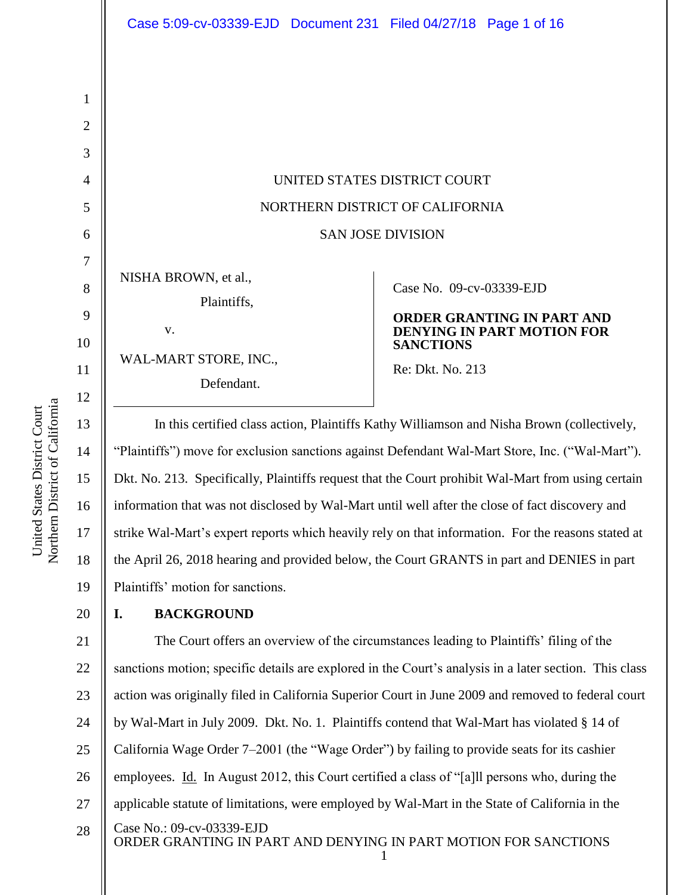NISHA BROWN, et al., Plaintiffs, v.

WAL-MART STORE, INC., Defendant.

### Case No. [09-cv-03339-EJD](https://ecf.cand.uscourts.gov/cgi-bin/DktRpt.pl?217321)

# **ORDER GRANTING IN PART AND DENYING IN PART MOTION FOR SANCTIONS**

Re: Dkt. No. 213

In this certified class action, Plaintiffs Kathy Williamson and Nisha Brown (collectively, "Plaintiffs") move for exclusion sanctions against Defendant Wal-Mart Store, Inc. ("Wal-Mart"). Dkt. No. 213. Specifically, Plaintiffs request that the Court prohibit Wal-Mart from using certain information that was not disclosed by Wal-Mart until well after the close of fact discovery and strike Wal-Mart's expert reports which heavily rely on that information. For the reasons stated at the April 26, 2018 hearing and provided below, the Court GRANTS in part and DENIES in part Plaintiffs' motion for sanctions.

# **I. BACKGROUND**

Case No.: [09-cv-03339-EJD](https://ecf.cand.uscourts.gov/cgi-bin/DktRpt.pl?217321) ORDER GRANTING IN PART AND DENYING IN PART MOTION FOR SANCTIONS 1 21 22 23 24 25 26 27 28 The Court offers an overview of the circumstances leading to Plaintiffs' filing of the sanctions motion; specific details are explored in the Court's analysis in a later section. This class action was originally filed in California Superior Court in June 2009 and removed to federal court by Wal-Mart in July 2009. Dkt. No. 1. Plaintiffs contend that Wal-Mart has violated § 14 of California Wage Order 7–2001 (the "Wage Order") by failing to provide seats for its cashier employees. Id. In August 2012, this Court certified a class of "[a]ll persons who, during the applicable statute of limitations, were employed by Wal-Mart in the State of California in the

1

2

3

4

5

6

7

8

9

10

11

12

13

14

15

16

17

18

19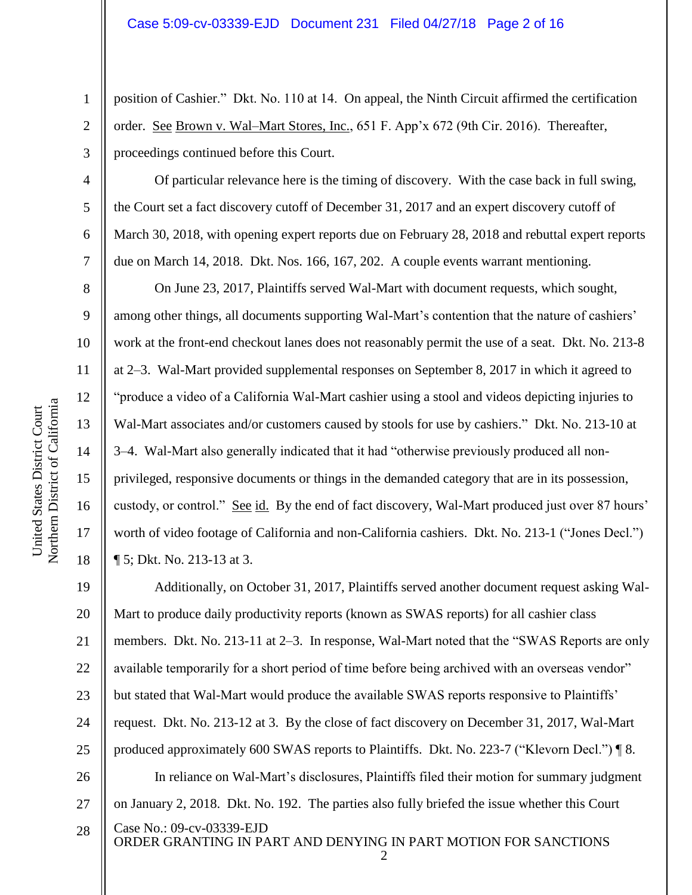position of Cashier." Dkt. No. 110 at 14. On appeal, the Ninth Circuit affirmed the certification order. See Brown v. Wal–Mart Stores, Inc., 651 F. App'x 672 (9th Cir. 2016). Thereafter, proceedings continued before this Court.

Of particular relevance here is the timing of discovery. With the case back in full swing, the Court set a fact discovery cutoff of December 31, 2017 and an expert discovery cutoff of March 30, 2018, with opening expert reports due on February 28, 2018 and rebuttal expert reports due on March 14, 2018. Dkt. Nos. 166, 167, 202. A couple events warrant mentioning.

On June 23, 2017, Plaintiffs served Wal-Mart with document requests, which sought, among other things, all documents supporting Wal-Mart's contention that the nature of cashiers' work at the front-end checkout lanes does not reasonably permit the use of a seat. Dkt. No. 213-8 at 2–3. Wal-Mart provided supplemental responses on September 8, 2017 in which it agreed to "produce a video of a California Wal-Mart cashier using a stool and videos depicting injuries to Wal-Mart associates and/or customers caused by stools for use by cashiers." Dkt. No. 213-10 at 3–4. Wal-Mart also generally indicated that it had "otherwise previously produced all nonprivileged, responsive documents or things in the demanded category that are in its possession, custody, or control." See id. By the end of fact discovery, Wal-Mart produced just over 87 hours' worth of video footage of California and non-California cashiers. Dkt. No. 213-1 ("Jones Decl.") ¶ 5; Dkt. No. 213-13 at 3.

Case No.: [09-cv-03339-EJD](https://ecf.cand.uscourts.gov/cgi-bin/DktRpt.pl?217321) ORDER GRANTING IN PART AND DENYING IN PART MOTION FOR SANCTIONS 19 20 21 22 23 24 25 26 27 28 Additionally, on October 31, 2017, Plaintiffs served another document request asking Wal-Mart to produce daily productivity reports (known as SWAS reports) for all cashier class members. Dkt. No. 213-11 at 2–3. In response, Wal-Mart noted that the "SWAS Reports are only available temporarily for a short period of time before being archived with an overseas vendor" but stated that Wal-Mart would produce the available SWAS reports responsive to Plaintiffs' request. Dkt. No. 213-12 at 3. By the close of fact discovery on December 31, 2017, Wal-Mart produced approximately 600 SWAS reports to Plaintiffs. Dkt. No. 223-7 ("Klevorn Decl.") ¶ 8. In reliance on Wal-Mart's disclosures, Plaintiffs filed their motion for summary judgment on January 2, 2018. Dkt. No. 192. The parties also fully briefed the issue whether this Court

1

2

3

4

5

6

7

8

9

10

11

12

13

14

15

16

17

18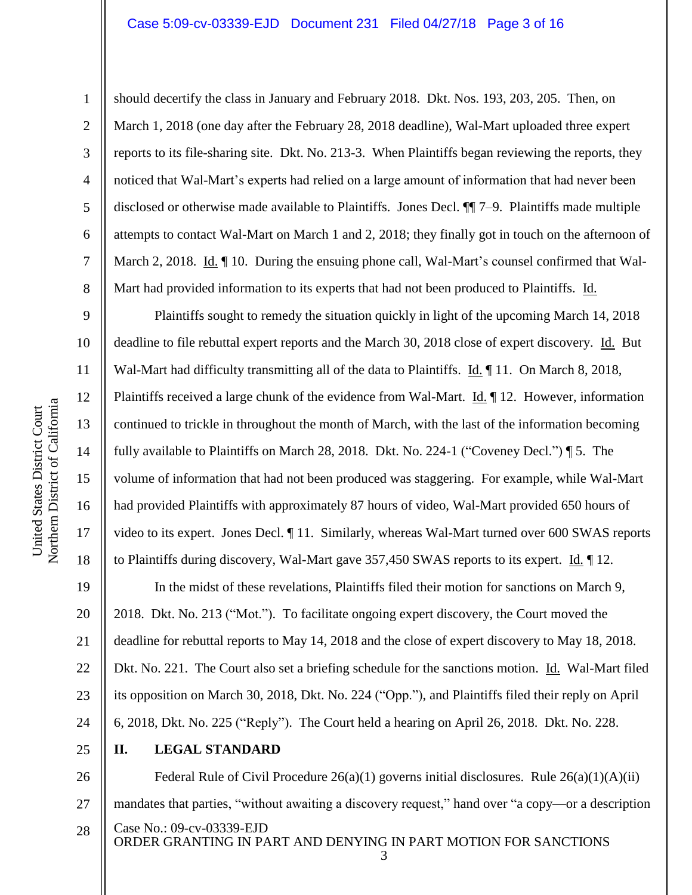2

3

4

5

6

7

8

9

10

11

12

13

14

15

16

17

18

should decertify the class in January and February 2018. Dkt. Nos. 193, 203, 205. Then, on March 1, 2018 (one day after the February 28, 2018 deadline), Wal-Mart uploaded three expert reports to its file-sharing site. Dkt. No. 213-3. When Plaintiffs began reviewing the reports, they noticed that Wal-Mart's experts had relied on a large amount of information that had never been disclosed or otherwise made available to Plaintiffs. Jones Decl. ¶¶ 7–9. Plaintiffs made multiple attempts to contact Wal-Mart on March 1 and 2, 2018; they finally got in touch on the afternoon of March 2, 2018. Id.  $\P$  10. During the ensuing phone call, Wal-Mart's counsel confirmed that Wal-Mart had provided information to its experts that had not been produced to Plaintiffs. Id.

Plaintiffs sought to remedy the situation quickly in light of the upcoming March 14, 2018 deadline to file rebuttal expert reports and the March 30, 2018 close of expert discovery. Id. But Wal-Mart had difficulty transmitting all of the data to Plaintiffs. Id. 11. On March 8, 2018, Plaintiffs received a large chunk of the evidence from Wal-Mart. Id. 12. However, information continued to trickle in throughout the month of March, with the last of the information becoming fully available to Plaintiffs on March 28, 2018. Dkt. No. 224-1 ("Coveney Decl.") ¶ 5. The volume of information that had not been produced was staggering. For example, while Wal-Mart had provided Plaintiffs with approximately 87 hours of video, Wal-Mart provided 650 hours of video to its expert. Jones Decl. ¶ 11. Similarly, whereas Wal-Mart turned over 600 SWAS reports to Plaintiffs during discovery, Wal-Mart gave 357,450 SWAS reports to its expert. Id. ¶ 12.

19 20 21 22 23 24 In the midst of these revelations, Plaintiffs filed their motion for sanctions on March 9, 2018. Dkt. No. 213 ("Mot."). To facilitate ongoing expert discovery, the Court moved the deadline for rebuttal reports to May 14, 2018 and the close of expert discovery to May 18, 2018. Dkt. No. 221. The Court also set a briefing schedule for the sanctions motion. Id. Wal-Mart filed its opposition on March 30, 2018, Dkt. No. 224 ("Opp."), and Plaintiffs filed their reply on April 6, 2018, Dkt. No. 225 ("Reply"). The Court held a hearing on April 26, 2018. Dkt. No. 228.

25

# **II. LEGAL STANDARD**

Case No.: [09-cv-03339-EJD](https://ecf.cand.uscourts.gov/cgi-bin/DktRpt.pl?217321) ORDER GRANTING IN PART AND DENYING IN PART MOTION FOR SANCTIONS 26 27 28 Federal Rule of Civil Procedure 26(a)(1) governs initial disclosures. Rule 26(a)(1)(A)(ii) mandates that parties, "without awaiting a discovery request," hand over "a copy—or a description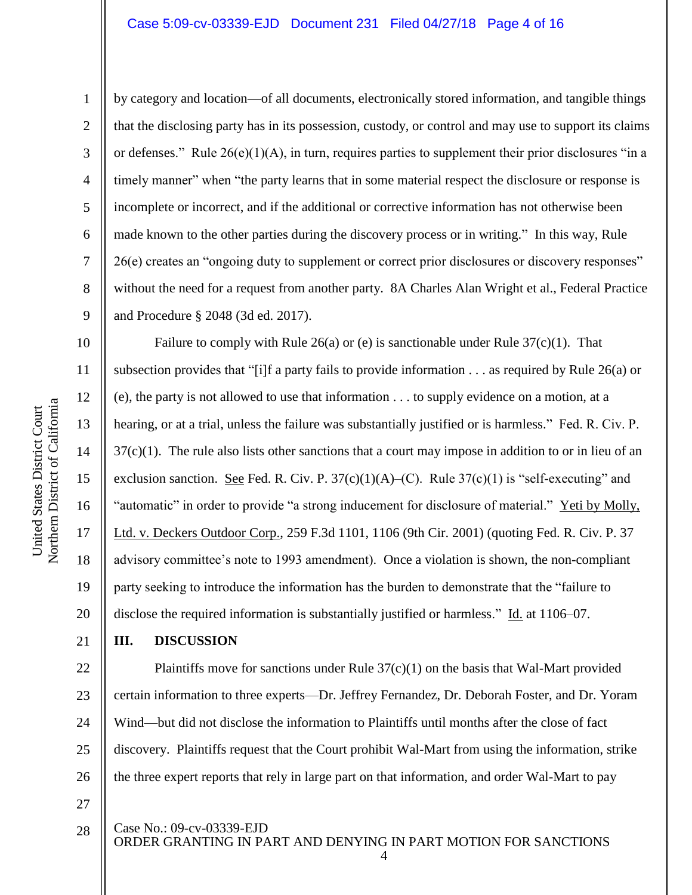2

3

4

5

6

7

8

9

12

13

14

15

17

18

19

21

28

by category and location—of all documents, electronically stored information, and tangible things that the disclosing party has in its possession, custody, or control and may use to support its claims or defenses." Rule  $26(e)(1)(A)$ , in turn, requires parties to supplement their prior disclosures "in a timely manner" when "the party learns that in some material respect the disclosure or response is incomplete or incorrect, and if the additional or corrective information has not otherwise been made known to the other parties during the discovery process or in writing." In this way, Rule 26(e) creates an "ongoing duty to supplement or correct prior disclosures or discovery responses" without the need for a request from another party. 8A Charles Alan Wright et al., Federal Practice and Procedure § 2048 (3d ed. 2017).

16 20 Failure to comply with Rule 26(a) or (e) is sanctionable under Rule  $37(c)(1)$ . That subsection provides that "[i]f a party fails to provide information . . . as required by Rule 26(a) or (e), the party is not allowed to use that information . . . to supply evidence on a motion, at a hearing, or at a trial, unless the failure was substantially justified or is harmless." Fed. R. Civ. P. 37(c)(1). The rule also lists other sanctions that a court may impose in addition to or in lieu of an exclusion sanction. See Fed. R. Civ. P.  $37(c)(1)(A)$ –(C). Rule  $37(c)(1)$  is "self-executing" and "automatic" in order to provide "a strong inducement for disclosure of material." Yeti by Molly, Ltd. v. Deckers Outdoor Corp., 259 F.3d 1101, 1106 (9th Cir. 2001) (quoting Fed. R. Civ. P. 37 advisory committee's note to 1993 amendment). Once a violation is shown, the non-compliant party seeking to introduce the information has the burden to demonstrate that the "failure to disclose the required information is substantially justified or harmless." Id. at 1106–07.

# **III. DISCUSSION**

22 23 24 25 26 27 Plaintiffs move for sanctions under Rule  $37(c)(1)$  on the basis that Wal-Mart provided certain information to three experts—Dr. Jeffrey Fernandez, Dr. Deborah Foster, and Dr. Yoram Wind—but did not disclose the information to Plaintiffs until months after the close of fact discovery. Plaintiffs request that the Court prohibit Wal-Mart from using the information, strike the three expert reports that rely in large part on that information, and order Wal-Mart to pay

Case No.: [09-cv-03339-EJD](https://ecf.cand.uscourts.gov/cgi-bin/DktRpt.pl?217321)

ORDER GRANTING IN PART AND DENYING IN PART MOTION FOR SANCTIONS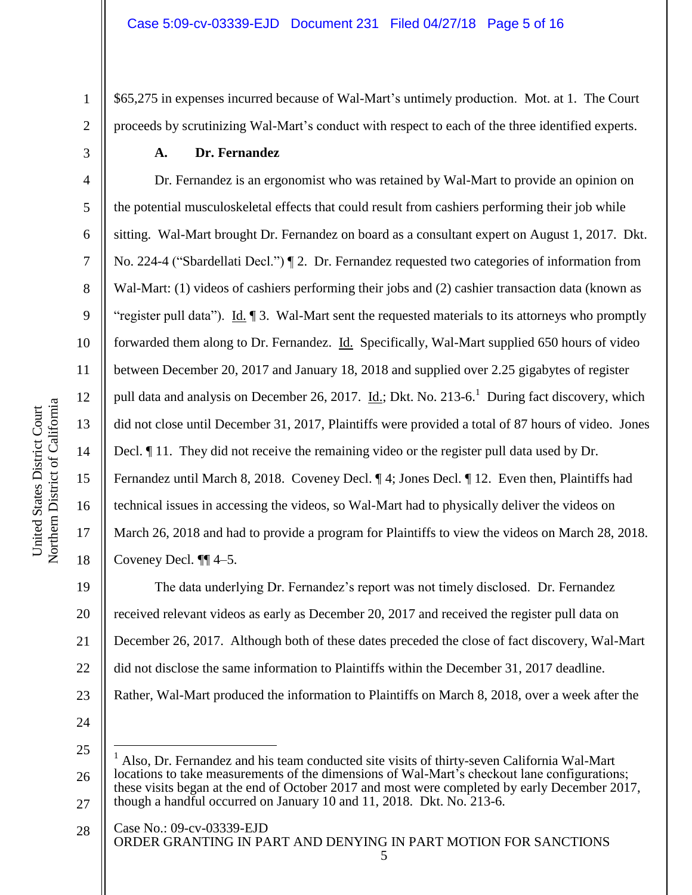\$65,275 in expenses incurred because of Wal-Mart's untimely production. Mot. at 1. The Court proceeds by scrutinizing Wal-Mart's conduct with respect to each of the three identified experts.

### **A. Dr. Fernandez**

Dr. Fernandez is an ergonomist who was retained by Wal-Mart to provide an opinion on the potential musculoskeletal effects that could result from cashiers performing their job while sitting. Wal-Mart brought Dr. Fernandez on board as a consultant expert on August 1, 2017. Dkt. No. 224-4 ("Sbardellati Decl.") ¶ 2. Dr. Fernandez requested two categories of information from Wal-Mart: (1) videos of cashiers performing their jobs and (2) cashier transaction data (known as "register pull data"). Id. 1 3. Wal-Mart sent the requested materials to its attorneys who promptly forwarded them along to Dr. Fernandez. Id. Specifically, Wal-Mart supplied 650 hours of video between December 20, 2017 and January 18, 2018 and supplied over 2.25 gigabytes of register pull data and analysis on December 26, 2017. *Id.*; Dkt. No. 213-6.<sup>1</sup> During fact discovery, which did not close until December 31, 2017, Plaintiffs were provided a total of 87 hours of video. Jones Decl. ¶ 11. They did not receive the remaining video or the register pull data used by Dr. Fernandez until March 8, 2018. Coveney Decl. ¶ 4; Jones Decl. ¶ 12. Even then, Plaintiffs had technical issues in accessing the videos, so Wal-Mart had to physically deliver the videos on March 26, 2018 and had to provide a program for Plaintiffs to view the videos on March 28, 2018. Coveney Decl. ¶¶ 4–5.

19 20 21 22 23 The data underlying Dr. Fernandez's report was not timely disclosed. Dr. Fernandez received relevant videos as early as December 20, 2017 and received the register pull data on December 26, 2017. Although both of these dates preceded the close of fact discovery, Wal-Mart did not disclose the same information to Plaintiffs within the December 31, 2017 deadline. Rather, Wal-Mart produced the information to Plaintiffs on March 8, 2018, over a week after the

24

 $\overline{a}$ 

25 26 27 <sup>1</sup> Also, Dr. Fernandez and his team conducted site visits of thirty-seven California Wal-Mart locations to take measurements of the dimensions of Wal-Mart's checkout lane configurations; these visits began at the end of October 2017 and most were completed by early December 2017, though a handful occurred on January 10 and 11, 2018. Dkt. No. 213-6.

Case No.: [09-cv-03339-EJD](https://ecf.cand.uscourts.gov/cgi-bin/DktRpt.pl?217321) ORDER GRANTING IN PART AND DENYING IN PART MOTION FOR SANCTIONS 5 28

1

2

3

4

5

6

7

8

9

10

11

12

13

14

15

16

17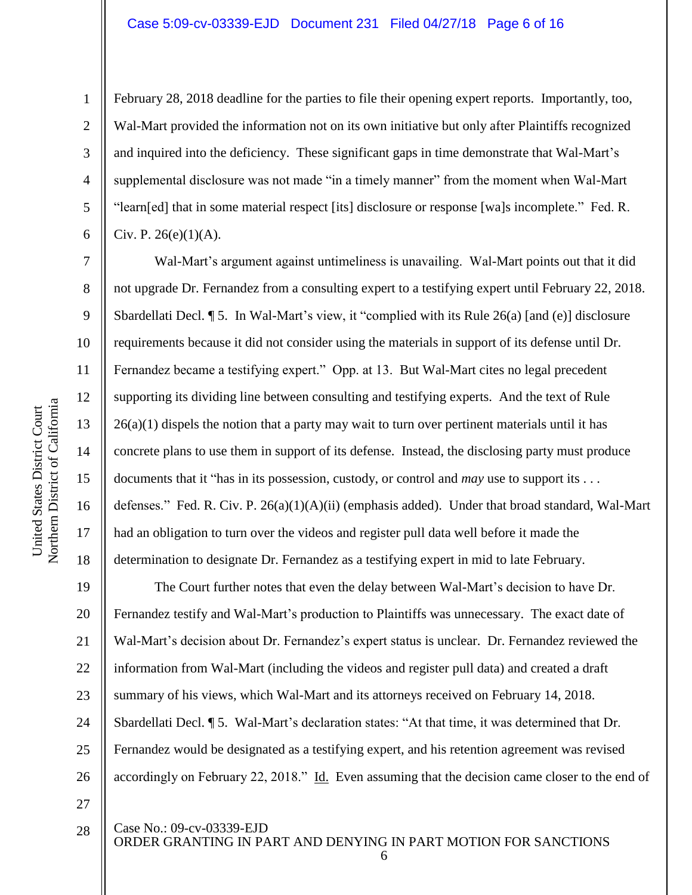February 28, 2018 deadline for the parties to file their opening expert reports. Importantly, too, Wal-Mart provided the information not on its own initiative but only after Plaintiffs recognized and inquired into the deficiency. These significant gaps in time demonstrate that Wal-Mart's supplemental disclosure was not made "in a timely manner" from the moment when Wal-Mart "learn[ed] that in some material respect [its] disclosure or response [wa]s incomplete." Fed. R. Civ. P. 26(e)(1)(A).

Wal-Mart's argument against untimeliness is unavailing. Wal-Mart points out that it did not upgrade Dr. Fernandez from a consulting expert to a testifying expert until February 22, 2018. Sbardellati Decl. ¶ 5. In Wal-Mart's view, it "complied with its Rule 26(a) [and (e)] disclosure requirements because it did not consider using the materials in support of its defense until Dr. Fernandez became a testifying expert." Opp. at 13. But Wal-Mart cites no legal precedent supporting its dividing line between consulting and testifying experts. And the text of Rule  $26(a)(1)$  dispels the notion that a party may wait to turn over pertinent materials until it has concrete plans to use them in support of its defense. Instead, the disclosing party must produce documents that it "has in its possession, custody, or control and *may* use to support its . . . defenses." Fed. R. Civ. P. 26(a)(1)(A)(ii) (emphasis added). Under that broad standard, Wal-Mart had an obligation to turn over the videos and register pull data well before it made the determination to designate Dr. Fernandez as a testifying expert in mid to late February.

19 20 21 22 23 24 25 26 27 The Court further notes that even the delay between Wal-Mart's decision to have Dr. Fernandez testify and Wal-Mart's production to Plaintiffs was unnecessary. The exact date of Wal-Mart's decision about Dr. Fernandez's expert status is unclear. Dr. Fernandez reviewed the information from Wal-Mart (including the videos and register pull data) and created a draft summary of his views, which Wal-Mart and its attorneys received on February 14, 2018. Sbardellati Decl. ¶ 5. Wal-Mart's declaration states: "At that time, it was determined that Dr. Fernandez would be designated as a testifying expert, and his retention agreement was revised accordingly on February 22, 2018." Id. Even assuming that the decision came closer to the end of

Case No.: [09-cv-03339-EJD](https://ecf.cand.uscourts.gov/cgi-bin/DktRpt.pl?217321)

ORDER GRANTING IN PART AND DENYING IN PART MOTION FOR SANCTIONS

6

Northern District of California Northern District of California United States District Court United States District Court

1

2

3

4

5

6

7

8

9

10

11

12

13

14

15

16

17

18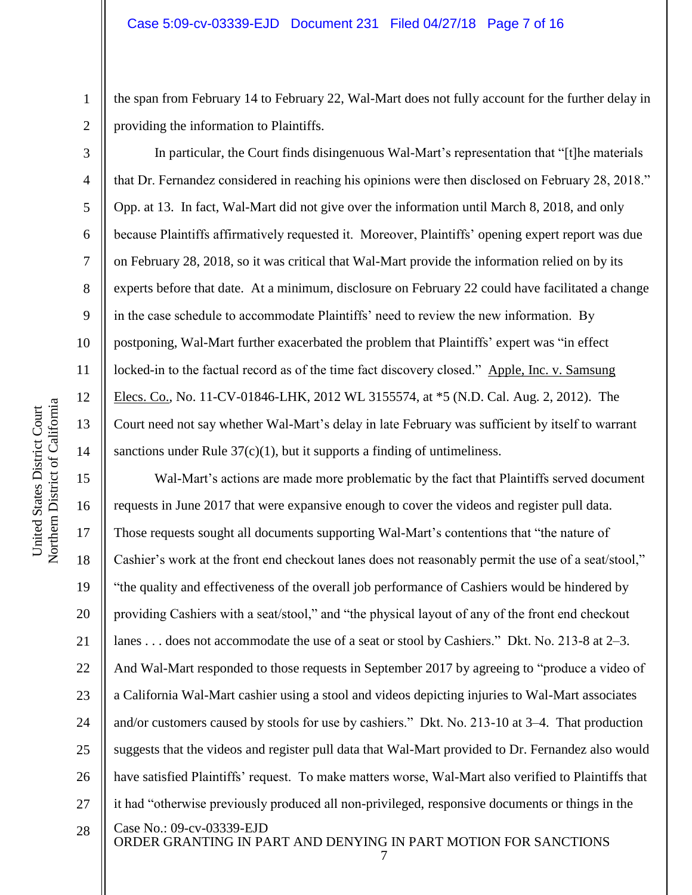the span from February 14 to February 22, Wal-Mart does not fully account for the further delay in providing the information to Plaintiffs.

In particular, the Court finds disingenuous Wal-Mart's representation that "[t]he materials that Dr. Fernandez considered in reaching his opinions were then disclosed on February 28, 2018." Opp. at 13. In fact, Wal-Mart did not give over the information until March 8, 2018, and only because Plaintiffs affirmatively requested it. Moreover, Plaintiffs' opening expert report was due on February 28, 2018, so it was critical that Wal-Mart provide the information relied on by its experts before that date. At a minimum, disclosure on February 22 could have facilitated a change in the case schedule to accommodate Plaintiffs' need to review the new information. By postponing, Wal-Mart further exacerbated the problem that Plaintiffs' expert was "in effect locked-in to the factual record as of the time fact discovery closed." Apple, Inc. v. Samsung Elecs. Co., No. 11-CV-01846-LHK, 2012 WL 3155574, at \*5 (N.D. Cal. Aug. 2, 2012). The Court need not say whether Wal-Mart's delay in late February was sufficient by itself to warrant sanctions under Rule  $37(c)(1)$ , but it supports a finding of untimeliness.

Case No.: [09-cv-03339-EJD](https://ecf.cand.uscourts.gov/cgi-bin/DktRpt.pl?217321) ORDER GRANTING IN PART AND DENYING IN PART MOTION FOR SANCTIONS 15 16 17 18 19 20 21 22 23 24 25 26 27 28 Wal-Mart's actions are made more problematic by the fact that Plaintiffs served document requests in June 2017 that were expansive enough to cover the videos and register pull data. Those requests sought all documents supporting Wal-Mart's contentions that "the nature of Cashier's work at the front end checkout lanes does not reasonably permit the use of a seat/stool," "the quality and effectiveness of the overall job performance of Cashiers would be hindered by providing Cashiers with a seat/stool," and "the physical layout of any of the front end checkout lanes . . . does not accommodate the use of a seat or stool by Cashiers." Dkt. No. 213-8 at 2–3. And Wal-Mart responded to those requests in September 2017 by agreeing to "produce a video of a California Wal-Mart cashier using a stool and videos depicting injuries to Wal-Mart associates and/or customers caused by stools for use by cashiers." Dkt. No. 213-10 at 3–4. That production suggests that the videos and register pull data that Wal-Mart provided to Dr. Fernandez also would have satisfied Plaintiffs' request. To make matters worse, Wal-Mart also verified to Plaintiffs that it had "otherwise previously produced all non-privileged, responsive documents or things in the

1

2

3

4

5

6

7

8

9

10

11

12

13

14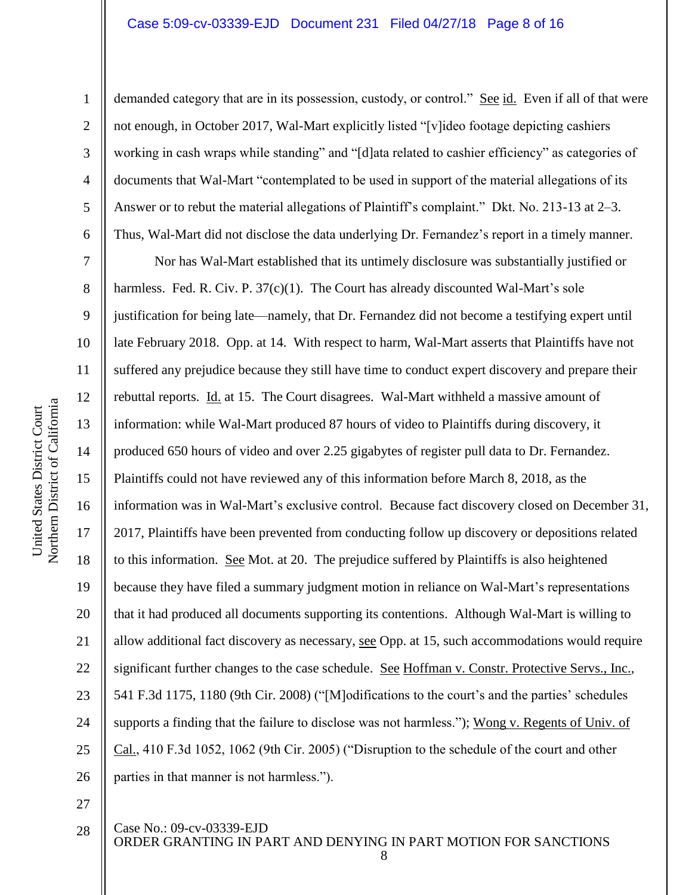2

3

4

5

6

demanded category that are in its possession, custody, or control." See id. Even if all of that were not enough, in October 2017, Wal-Mart explicitly listed "[v]ideo footage depicting cashiers working in cash wraps while standing" and "[d]ata related to cashier efficiency" as categories of documents that Wal-Mart "contemplated to be used in support of the material allegations of its Answer or to rebut the material allegations of Plaintiff's complaint." Dkt. No. 213-13 at 2–3. Thus, Wal-Mart did not disclose the data underlying Dr. Fernandez's report in a timely manner.

7 8 9 10 14 15 16 17 18 19 20 21 22 23 24 25 26 Nor has Wal-Mart established that its untimely disclosure was substantially justified or harmless. Fed. R. Civ. P.  $37(c)(1)$ . The Court has already discounted Wal-Mart's sole justification for being late—namely, that Dr. Fernandez did not become a testifying expert until late February 2018. Opp. at 14. With respect to harm, Wal-Mart asserts that Plaintiffs have not suffered any prejudice because they still have time to conduct expert discovery and prepare their rebuttal reports. *Id.* at 15. The Court disagrees. Wal-Mart withheld a massive amount of information: while Wal-Mart produced 87 hours of video to Plaintiffs during discovery, it produced 650 hours of video and over 2.25 gigabytes of register pull data to Dr. Fernandez. Plaintiffs could not have reviewed any of this information before March 8, 2018, as the information was in Wal-Mart's exclusive control. Because fact discovery closed on December 31, 2017, Plaintiffs have been prevented from conducting follow up discovery or depositions related to this information. See Mot. at 20. The prejudice suffered by Plaintiffs is also heightened because they have filed a summary judgment motion in reliance on Wal-Mart's representations that it had produced all documents supporting its contentions. Although Wal-Mart is willing to allow additional fact discovery as necessary, see Opp. at 15, such accommodations would require significant further changes to the case schedule. See Hoffman v. Constr. Protective Servs., Inc., 541 F.3d 1175, 1180 (9th Cir. 2008) ("[M]odifications to the court's and the parties' schedules supports a finding that the failure to disclose was not harmless."); Wong v. Regents of Univ. of Cal., 410 F.3d 1052, 1062 (9th Cir. 2005) ("Disruption to the schedule of the court and other parties in that manner is not harmless.").

27

28

Case No.: [09-cv-03339-EJD](https://ecf.cand.uscourts.gov/cgi-bin/DktRpt.pl?217321)

ORDER GRANTING IN PART AND DENYING IN PART MOTION FOR SANCTIONS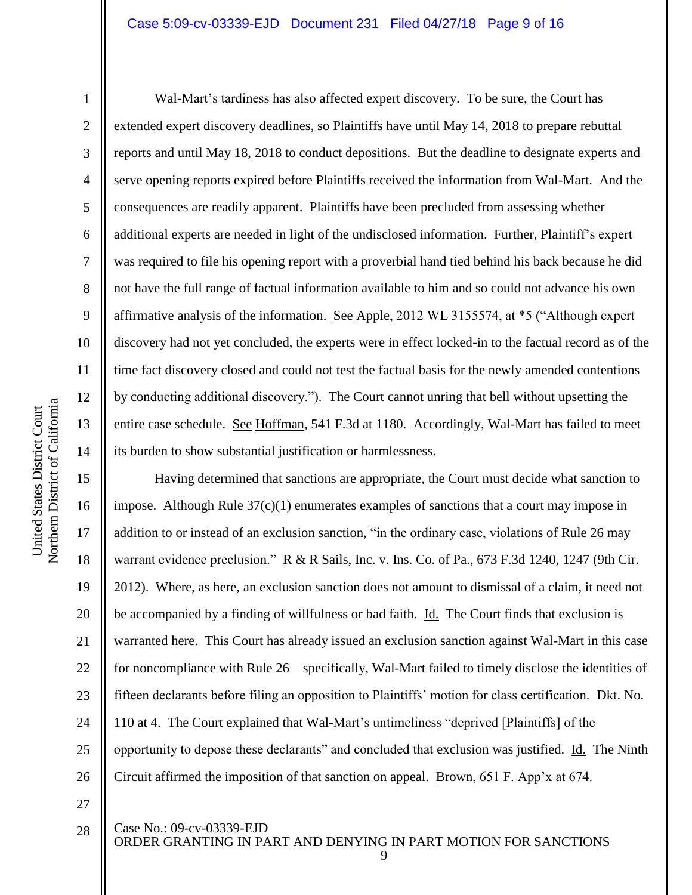10 11 12 Northern District of California Northern District of California 13 14 15 17

United States District Court

United States District Court

1

2

3

4

5

6

7

8

9

Wal-Mart's tardiness has also affected expert discovery. To be sure, the Court has extended expert discovery deadlines, so Plaintiffs have until May 14, 2018 to prepare rebuttal reports and until May 18, 2018 to conduct depositions. But the deadline to designate experts and serve opening reports expired before Plaintiffs received the information from Wal-Mart. And the consequences are readily apparent. Plaintiffs have been precluded from assessing whether additional experts are needed in light of the undisclosed information. Further, Plaintiff's expert was required to file his opening report with a proverbial hand tied behind his back because he did not have the full range of factual information available to him and so could not advance his own affirmative analysis of the information. See Apple, 2012 WL 3155574, at \*5 ("Although expert discovery had not yet concluded, the experts were in effect locked-in to the factual record as of the time fact discovery closed and could not test the factual basis for the newly amended contentions by conducting additional discovery."). The Court cannot unring that bell without upsetting the entire case schedule. See Hoffman, 541 F.3d at 1180. Accordingly, Wal-Mart has failed to meet its burden to show substantial justification or harmlessness.

16 18 19 20 21 22 23 24 25 26 Having determined that sanctions are appropriate, the Court must decide what sanction to impose. Although Rule 37(c)(1) enumerates examples of sanctions that a court may impose in addition to or instead of an exclusion sanction, "in the ordinary case, violations of Rule 26 may warrant evidence preclusion." R & R Sails, Inc. v. Ins. Co. of Pa., 673 F.3d 1240, 1247 (9th Cir. 2012). Where, as here, an exclusion sanction does not amount to dismissal of a claim, it need not be accompanied by a finding of willfulness or bad faith. Id. The Court finds that exclusion is warranted here. This Court has already issued an exclusion sanction against Wal-Mart in this case for noncompliance with Rule 26—specifically, Wal-Mart failed to timely disclose the identities of fifteen declarants before filing an opposition to Plaintiffs' motion for class certification. Dkt. No. 110 at 4. The Court explained that Wal-Mart's untimeliness "deprived [Plaintiffs] of the opportunity to depose these declarants" and concluded that exclusion was justified. Id. The Ninth Circuit affirmed the imposition of that sanction on appeal. Brown, 651 F. App'x at 674.

27 28

Case No.: [09-cv-03339-EJD](https://ecf.cand.uscourts.gov/cgi-bin/DktRpt.pl?217321)

ORDER GRANTING IN PART AND DENYING IN PART MOTION FOR SANCTIONS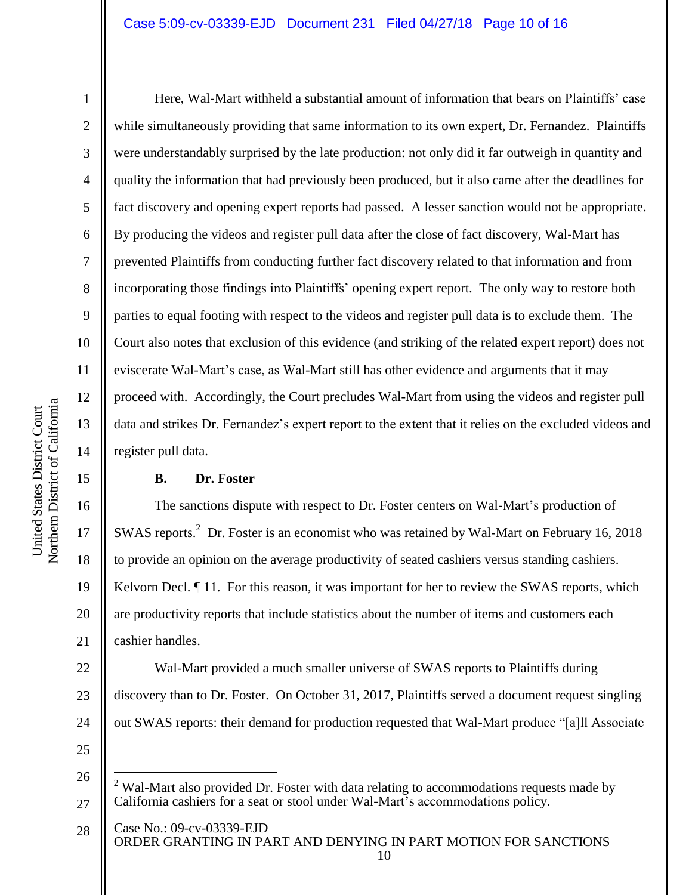2

3

4

5

6

7

8

9

10

11

12

13

14

15

16

17

18

19

20

21

Here, Wal-Mart withheld a substantial amount of information that bears on Plaintiffs' case while simultaneously providing that same information to its own expert, Dr. Fernandez. Plaintiffs were understandably surprised by the late production: not only did it far outweigh in quantity and quality the information that had previously been produced, but it also came after the deadlines for fact discovery and opening expert reports had passed. A lesser sanction would not be appropriate. By producing the videos and register pull data after the close of fact discovery, Wal-Mart has prevented Plaintiffs from conducting further fact discovery related to that information and from incorporating those findings into Plaintiffs' opening expert report. The only way to restore both parties to equal footing with respect to the videos and register pull data is to exclude them. The Court also notes that exclusion of this evidence (and striking of the related expert report) does not eviscerate Wal-Mart's case, as Wal-Mart still has other evidence and arguments that it may proceed with. Accordingly, the Court precludes Wal-Mart from using the videos and register pull data and strikes Dr. Fernandez's expert report to the extent that it relies on the excluded videos and register pull data.

# **B. Dr. Foster**

The sanctions dispute with respect to Dr. Foster centers on Wal-Mart's production of SWAS reports.<sup>2</sup> Dr. Foster is an economist who was retained by Wal-Mart on February 16, 2018 to provide an opinion on the average productivity of seated cashiers versus standing cashiers. Kelvorn Decl.  $\P$  11. For this reason, it was important for her to review the SWAS reports, which are productivity reports that include statistics about the number of items and customers each cashier handles.

22 23 24 25 Wal-Mart provided a much smaller universe of SWAS reports to Plaintiffs during discovery than to Dr. Foster. On October 31, 2017, Plaintiffs served a document request singling out SWAS reports: their demand for production requested that Wal-Mart produce "[a]ll Associate

26

 $\overline{a}$ 

<sup>27</sup> Wal-Mart also provided Dr. Foster with data relating to accommodations requests made by California cashiers for a seat or stool under Wal-Mart's accommodations policy.

Case No.: [09-cv-03339-EJD](https://ecf.cand.uscourts.gov/cgi-bin/DktRpt.pl?217321) ORDER GRANTING IN PART AND DENYING IN PART MOTION FOR SANCTIONS 28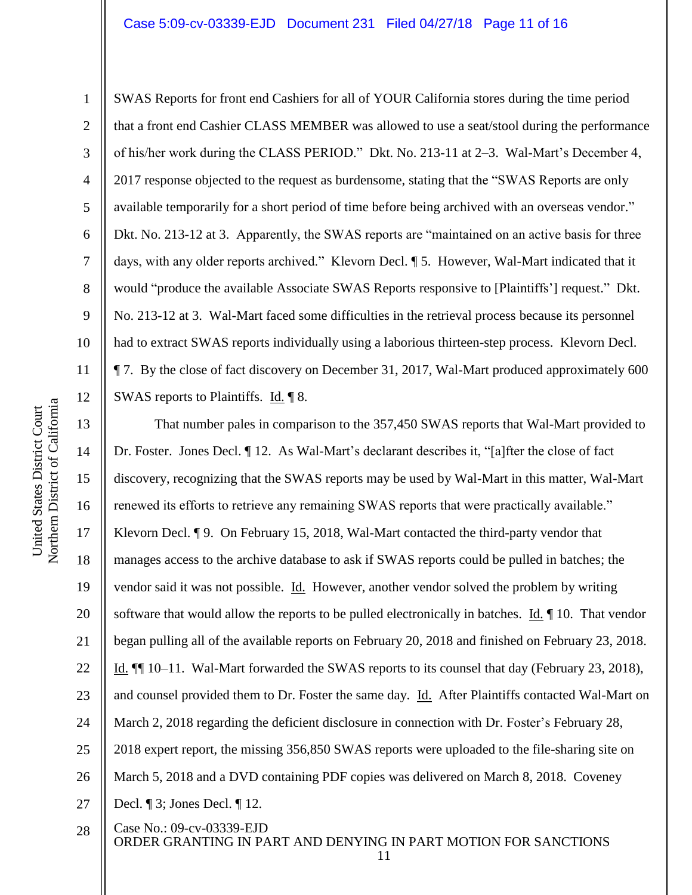SWAS Reports for front end Cashiers for all of YOUR California stores during the time period that a front end Cashier CLASS MEMBER was allowed to use a seat/stool during the performance of his/her work during the CLASS PERIOD." Dkt. No. 213-11 at 2–3. Wal-Mart's December 4, 2017 response objected to the request as burdensome, stating that the "SWAS Reports are only available temporarily for a short period of time before being archived with an overseas vendor." Dkt. No. 213-12 at 3. Apparently, the SWAS reports are "maintained on an active basis for three days, with any older reports archived." Klevorn Decl. ¶ 5. However, Wal-Mart indicated that it would "produce the available Associate SWAS Reports responsive to [Plaintiffs'] request." Dkt. No. 213-12 at 3. Wal-Mart faced some difficulties in the retrieval process because its personnel had to extract SWAS reports individually using a laborious thirteen-step process. Klevorn Decl. ¶ 7. By the close of fact discovery on December 31, 2017, Wal-Mart produced approximately 600 SWAS reports to Plaintiffs. Id. 18.

13 14 15 16 17 18 19 20 21 22 23 24 25 26 27 That number pales in comparison to the 357,450 SWAS reports that Wal-Mart provided to Dr. Foster. Jones Decl. ¶ 12. As Wal-Mart's declarant describes it, "[a]fter the close of fact discovery, recognizing that the SWAS reports may be used by Wal-Mart in this matter, Wal-Mart renewed its efforts to retrieve any remaining SWAS reports that were practically available." Klevorn Decl. ¶ 9. On February 15, 2018, Wal-Mart contacted the third-party vendor that manages access to the archive database to ask if SWAS reports could be pulled in batches; the vendor said it was not possible. Id. However, another vendor solved the problem by writing software that would allow the reports to be pulled electronically in batches.  $\underline{Id}$ .  $\P$  10. That vendor began pulling all of the available reports on February 20, 2018 and finished on February 23, 2018. Id. ¶¶ 10–11. Wal-Mart forwarded the SWAS reports to its counsel that day (February 23, 2018), and counsel provided them to Dr. Foster the same day. Id. After Plaintiffs contacted Wal-Mart on March 2, 2018 regarding the deficient disclosure in connection with Dr. Foster's February 28, 2018 expert report, the missing 356,850 SWAS reports were uploaded to the file-sharing site on March 5, 2018 and a DVD containing PDF copies was delivered on March 8, 2018. Coveney Decl. ¶ 3; Jones Decl. ¶ 12.

Case No.: [09-cv-03339-EJD](https://ecf.cand.uscourts.gov/cgi-bin/DktRpt.pl?217321) ORDER GRANTING IN PART AND DENYING IN PART MOTION FOR SANCTIONS 11 28

1

2

3

4

5

6

7

8

9

10

11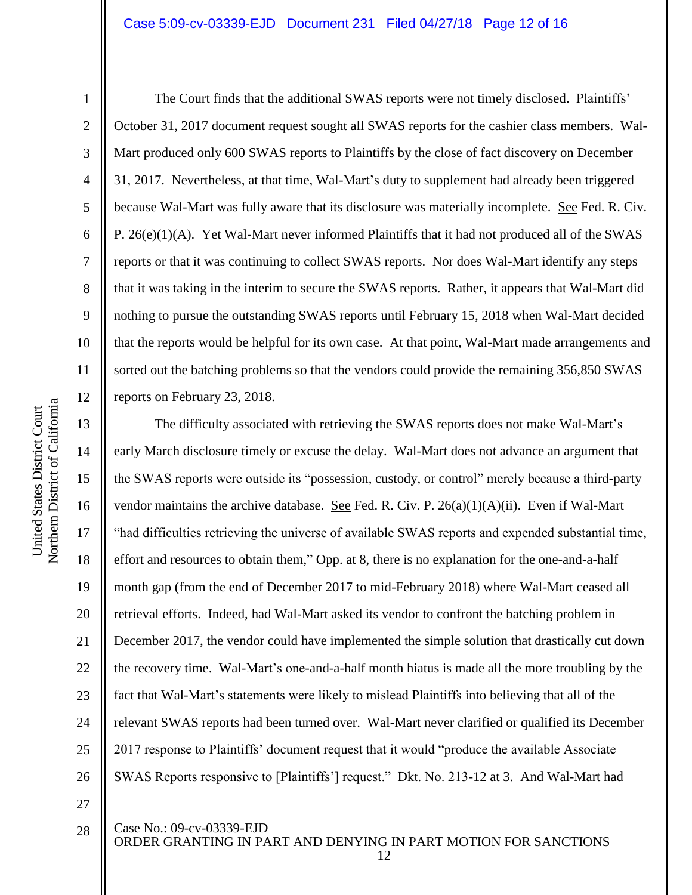2

3

4

5

6

7

8

9

10

11

12

28

The Court finds that the additional SWAS reports were not timely disclosed. Plaintiffs' October 31, 2017 document request sought all SWAS reports for the cashier class members. Wal-Mart produced only 600 SWAS reports to Plaintiffs by the close of fact discovery on December 31, 2017. Nevertheless, at that time, Wal-Mart's duty to supplement had already been triggered because Wal-Mart was fully aware that its disclosure was materially incomplete. See Fed. R. Civ. P.  $26(e)(1)(A)$ . Yet Wal-Mart never informed Plaintiffs that it had not produced all of the SWAS reports or that it was continuing to collect SWAS reports. Nor does Wal-Mart identify any steps that it was taking in the interim to secure the SWAS reports. Rather, it appears that Wal-Mart did nothing to pursue the outstanding SWAS reports until February 15, 2018 when Wal-Mart decided that the reports would be helpful for its own case. At that point, Wal-Mart made arrangements and sorted out the batching problems so that the vendors could provide the remaining 356,850 SWAS reports on February 23, 2018.

13 14 15 16 17 18 19 20 21 22 23 24 25 26 27 The difficulty associated with retrieving the SWAS reports does not make Wal-Mart's early March disclosure timely or excuse the delay. Wal-Mart does not advance an argument that the SWAS reports were outside its "possession, custody, or control" merely because a third-party vendor maintains the archive database. See Fed. R. Civ. P.  $26(a)(1)(A)(ii)$ . Even if Wal-Mart "had difficulties retrieving the universe of available SWAS reports and expended substantial time, effort and resources to obtain them," Opp. at 8, there is no explanation for the one-and-a-half month gap (from the end of December 2017 to mid-February 2018) where Wal-Mart ceased all retrieval efforts. Indeed, had Wal-Mart asked its vendor to confront the batching problem in December 2017, the vendor could have implemented the simple solution that drastically cut down the recovery time. Wal-Mart's one-and-a-half month hiatus is made all the more troubling by the fact that Wal-Mart's statements were likely to mislead Plaintiffs into believing that all of the relevant SWAS reports had been turned over. Wal-Mart never clarified or qualified its December 2017 response to Plaintiffs' document request that it would "produce the available Associate SWAS Reports responsive to [Plaintiffs'] request." Dkt. No. 213-12 at 3. And Wal-Mart had

Case No.: [09-cv-03339-EJD](https://ecf.cand.uscourts.gov/cgi-bin/DktRpt.pl?217321)

ORDER GRANTING IN PART AND DENYING IN PART MOTION FOR SANCTIONS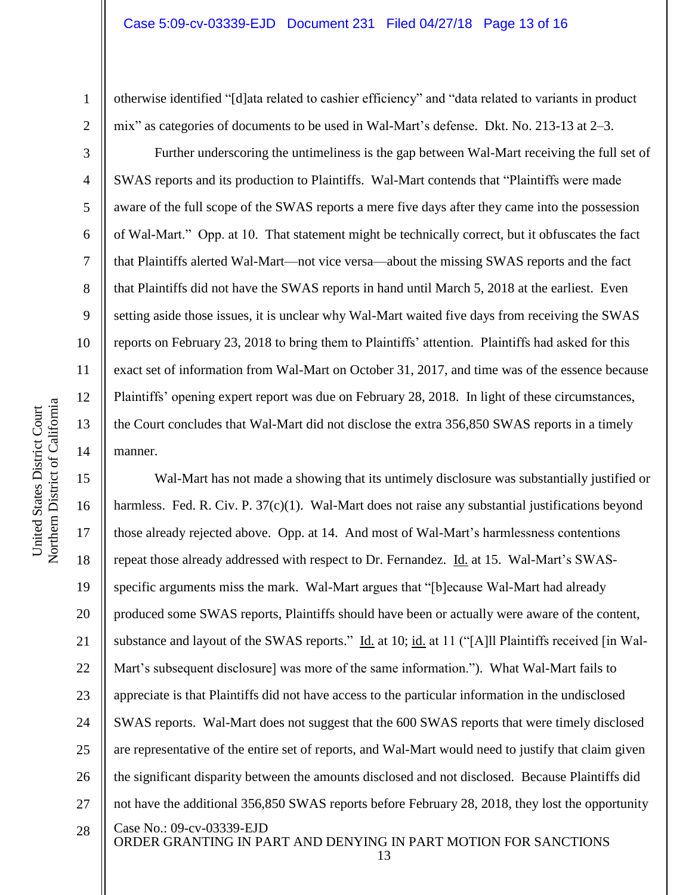otherwise identified "[d]ata related to cashier efficiency" and "data related to variants in product mix" as categories of documents to be used in Wal-Mart's defense. Dkt. No. 213-13 at 2–3.

Further underscoring the untimeliness is the gap between Wal-Mart receiving the full set of SWAS reports and its production to Plaintiffs. Wal-Mart contends that "Plaintiffs were made aware of the full scope of the SWAS reports a mere five days after they came into the possession of Wal-Mart." Opp. at 10. That statement might be technically correct, but it obfuscates the fact that Plaintiffs alerted Wal-Mart—not vice versa—about the missing SWAS reports and the fact that Plaintiffs did not have the SWAS reports in hand until March 5, 2018 at the earliest. Even setting aside those issues, it is unclear why Wal-Mart waited five days from receiving the SWAS reports on February 23, 2018 to bring them to Plaintiffs' attention. Plaintiffs had asked for this exact set of information from Wal-Mart on October 31, 2017, and time was of the essence because Plaintiffs' opening expert report was due on February 28, 2018. In light of these circumstances, the Court concludes that Wal-Mart did not disclose the extra 356,850 SWAS reports in a timely manner.

Case No.: [09-cv-03339-EJD](https://ecf.cand.uscourts.gov/cgi-bin/DktRpt.pl?217321) ORDER GRANTING IN PART AND DENYING IN PART MOTION FOR SANCTIONS 15 16 17 18 19 20 21 22 23 24 25 26 27 28 Wal-Mart has not made a showing that its untimely disclosure was substantially justified or harmless. Fed. R. Civ. P. 37(c)(1). Wal-Mart does not raise any substantial justifications beyond those already rejected above. Opp. at 14. And most of Wal-Mart's harmlessness contentions repeat those already addressed with respect to Dr. Fernandez. Id. at 15. Wal-Mart's SWASspecific arguments miss the mark. Wal-Mart argues that "[b]ecause Wal-Mart had already produced some SWAS reports, Plaintiffs should have been or actually were aware of the content, substance and layout of the SWAS reports." Id. at 10; id. at 11 ("[A]ll Plaintiffs received [in Wal-Mart's subsequent disclosure] was more of the same information."). What Wal-Mart fails to appreciate is that Plaintiffs did not have access to the particular information in the undisclosed SWAS reports. Wal-Mart does not suggest that the 600 SWAS reports that were timely disclosed are representative of the entire set of reports, and Wal-Mart would need to justify that claim given the significant disparity between the amounts disclosed and not disclosed. Because Plaintiffs did not have the additional 356,850 SWAS reports before February 28, 2018, they lost the opportunity

1

2

3

4

5

6

7

8

9

10

11

12

13

14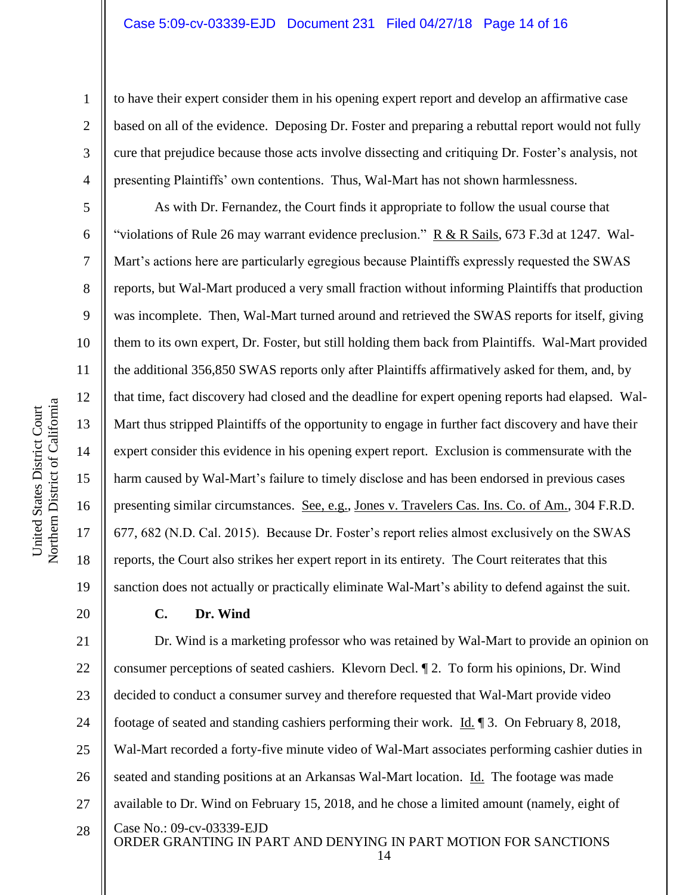to have their expert consider them in his opening expert report and develop an affirmative case based on all of the evidence. Deposing Dr. Foster and preparing a rebuttal report would not fully cure that prejudice because those acts involve dissecting and critiquing Dr. Foster's analysis, not presenting Plaintiffs' own contentions. Thus, Wal-Mart has not shown harmlessness.

As with Dr. Fernandez, the Court finds it appropriate to follow the usual course that "violations of Rule 26 may warrant evidence preclusion."  $R \& R$  Sails, 673 F.3d at 1247. Wal-Mart's actions here are particularly egregious because Plaintiffs expressly requested the SWAS reports, but Wal-Mart produced a very small fraction without informing Plaintiffs that production was incomplete. Then, Wal-Mart turned around and retrieved the SWAS reports for itself, giving them to its own expert, Dr. Foster, but still holding them back from Plaintiffs. Wal-Mart provided the additional 356,850 SWAS reports only after Plaintiffs affirmatively asked for them, and, by that time, fact discovery had closed and the deadline for expert opening reports had elapsed. Wal-Mart thus stripped Plaintiffs of the opportunity to engage in further fact discovery and have their expert consider this evidence in his opening expert report. Exclusion is commensurate with the harm caused by Wal-Mart's failure to timely disclose and has been endorsed in previous cases presenting similar circumstances. See, e.g., Jones v. Travelers Cas. Ins. Co. of Am., 304 F.R.D. 677, 682 (N.D. Cal. 2015). Because Dr. Foster's report relies almost exclusively on the SWAS reports, the Court also strikes her expert report in its entirety. The Court reiterates that this sanction does not actually or practically eliminate Wal-Mart's ability to defend against the suit.

# **C. Dr. Wind**

Case No.: [09-cv-03339-EJD](https://ecf.cand.uscourts.gov/cgi-bin/DktRpt.pl?217321) ORDER GRANTING IN PART AND DENYING IN PART MOTION FOR SANCTIONS 21 22 23 24 25 26 27 28 Dr. Wind is a marketing professor who was retained by Wal-Mart to provide an opinion on consumer perceptions of seated cashiers. Klevorn Decl. ¶ 2. To form his opinions, Dr. Wind decided to conduct a consumer survey and therefore requested that Wal-Mart provide video footage of seated and standing cashiers performing their work. Id. ¶ 3. On February 8, 2018, Wal-Mart recorded a forty-five minute video of Wal-Mart associates performing cashier duties in seated and standing positions at an Arkansas Wal-Mart location. Id. The footage was made available to Dr. Wind on February 15, 2018, and he chose a limited amount (namely, eight of

14

1

2

3

4

5

6

7

8

9

10

11

12

13

14

15

16

17

18

19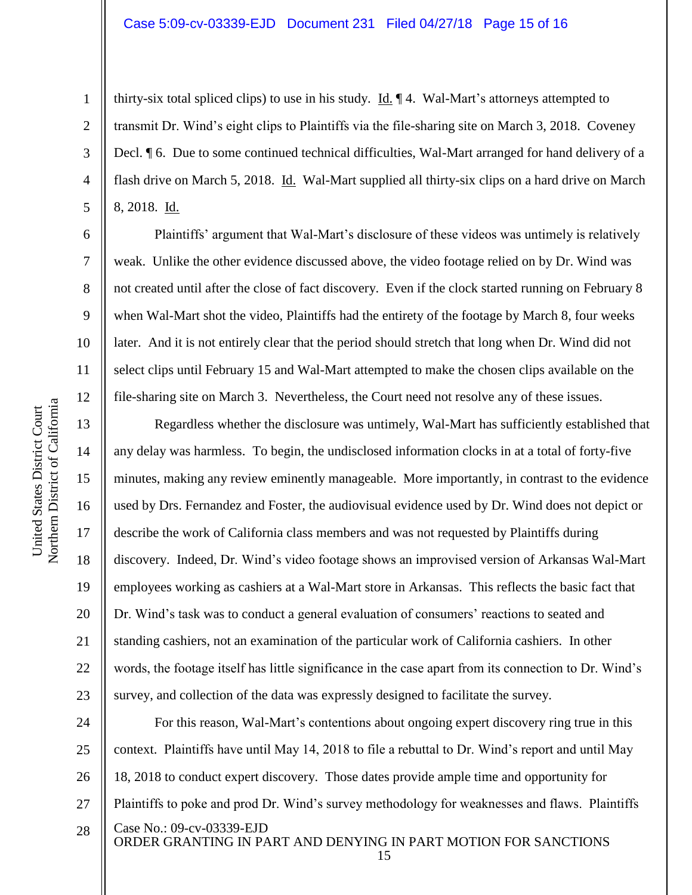thirty-six total spliced clips) to use in his study.  $\underline{Id}$ .  $\P$ 4. Wal-Mart's attorneys attempted to transmit Dr. Wind's eight clips to Plaintiffs via the file-sharing site on March 3, 2018. Coveney Decl. ¶ 6. Due to some continued technical difficulties, Wal-Mart arranged for hand delivery of a flash drive on March 5, 2018. Id. Wal-Mart supplied all thirty-six clips on a hard drive on March 8, 2018. Id.

Plaintiffs' argument that Wal-Mart's disclosure of these videos was untimely is relatively weak. Unlike the other evidence discussed above, the video footage relied on by Dr. Wind was not created until after the close of fact discovery. Even if the clock started running on February 8 when Wal-Mart shot the video, Plaintiffs had the entirety of the footage by March 8, four weeks later. And it is not entirely clear that the period should stretch that long when Dr. Wind did not select clips until February 15 and Wal-Mart attempted to make the chosen clips available on the file-sharing site on March 3. Nevertheless, the Court need not resolve any of these issues.

Regardless whether the disclosure was untimely, Wal-Mart has sufficiently established that any delay was harmless. To begin, the undisclosed information clocks in at a total of forty-five minutes, making any review eminently manageable. More importantly, in contrast to the evidence used by Drs. Fernandez and Foster, the audiovisual evidence used by Dr. Wind does not depict or describe the work of California class members and was not requested by Plaintiffs during discovery. Indeed, Dr. Wind's video footage shows an improvised version of Arkansas Wal-Mart employees working as cashiers at a Wal-Mart store in Arkansas. This reflects the basic fact that Dr. Wind's task was to conduct a general evaluation of consumers' reactions to seated and standing cashiers, not an examination of the particular work of California cashiers. In other words, the footage itself has little significance in the case apart from its connection to Dr. Wind's survey, and collection of the data was expressly designed to facilitate the survey.

Case No.: [09-cv-03339-EJD](https://ecf.cand.uscourts.gov/cgi-bin/DktRpt.pl?217321) ORDER GRANTING IN PART AND DENYING IN PART MOTION FOR SANCTIONS 24 25 26 27 28 For this reason, Wal-Mart's contentions about ongoing expert discovery ring true in this context. Plaintiffs have until May 14, 2018 to file a rebuttal to Dr. Wind's report and until May 18, 2018 to conduct expert discovery. Those dates provide ample time and opportunity for Plaintiffs to poke and prod Dr. Wind's survey methodology for weaknesses and flaws. Plaintiffs

1

2

3

4

5

6

7

8

9

10

11

12

13

14

15

16

17

18

19

20

21

22

23